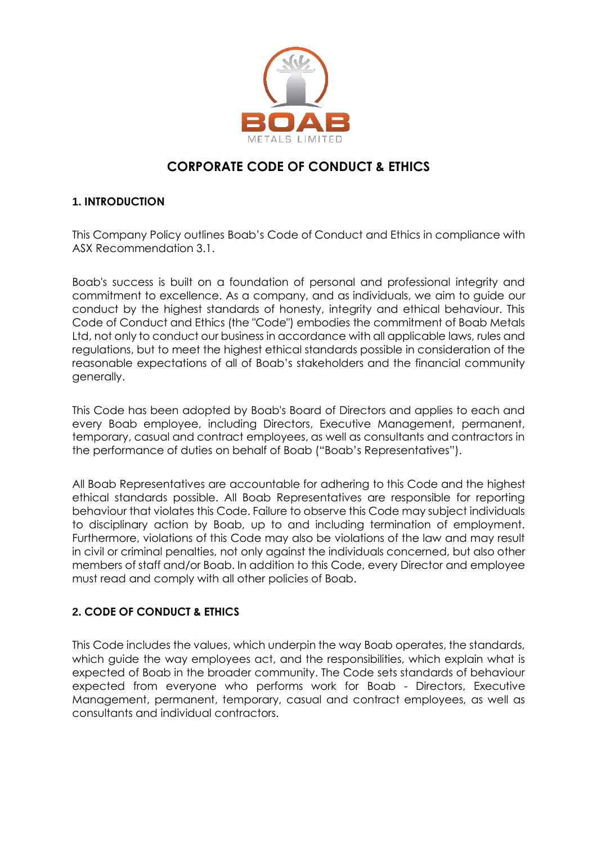

# **CORPORATE CODE OF CONDUCT & ETHICS**

## **1. INTRODUCTION**

This Company Policy outlines Boab's Code of Conduct and Ethics in compliance with ASX Recommendation 3.1.

Boab's success is built on a foundation of personal and professional integrity and commitment to excellence. As a company, and as individuals, we aim to guide our conduct by the highest standards of honesty, integrity and ethical behaviour. This Code of Conduct and Ethics (the "Code") embodies the commitment of Boab Metals Ltd, not only to conduct our business in accordance with all applicable laws, rules and regulations, but to meet the highest ethical standards possible in consideration of the reasonable expectations of all of Boab's stakeholders and the financial community generally.

This Code has been adopted by Boab's Board of Directors and applies to each and every Boab employee, including Directors, Executive Management, permanent, temporary, casual and contract employees, as well as consultants and contractors in the performance of duties on behalf of Boab ("Boab's Representatives").

All Boab Representatives are accountable for adhering to this Code and the highest ethical standards possible. All Boab Representatives are responsible for reporting behaviour that violates this Code. Failure to observe this Code may subject individuals to disciplinary action by Boab, up to and including termination of employment. Furthermore, violations of this Code may also be violations of the law and may result in civil or criminal penalties, not only against the individuals concerned, but also other members of staff and/or Boab. In addition to this Code, every Director and employee must read and comply with all other policies of Boab.

# **2. CODE OF CONDUCT & ETHICS**

This Code includes the values, which underpin the way Boab operates, the standards, which guide the way employees act, and the responsibilities, which explain what is expected of Boab in the broader community. The Code sets standards of behaviour expected from everyone who performs work for Boab - Directors, Executive Management, permanent, temporary, casual and contract employees, as well as consultants and individual contractors.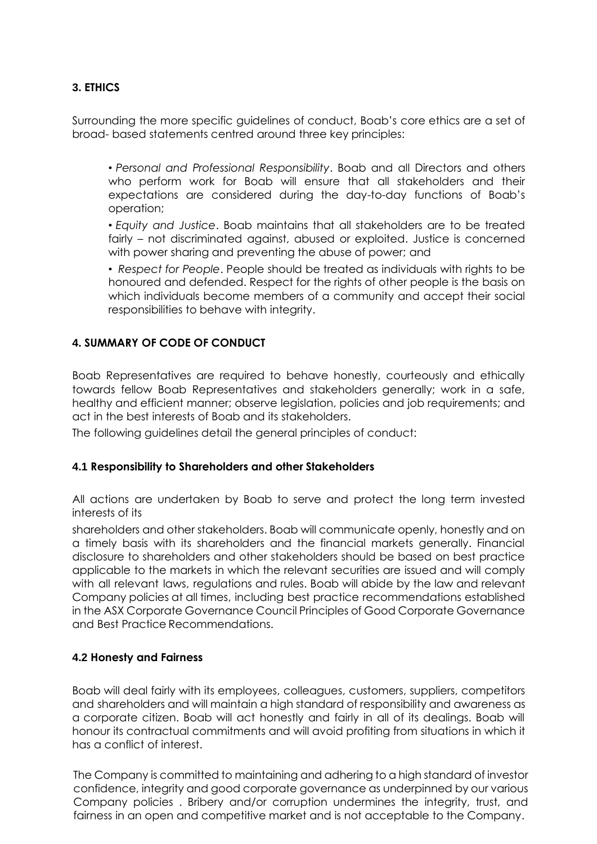## **3. ETHICS**

Surrounding the more specific guidelines of conduct, Boab's core ethics are a set of broad- based statements centred around three key principles:

• *Personal and Professional Responsibility*. Boab and all Directors and others who perform work for Boab will ensure that all stakeholders and their expectations are considered during the day-to-day functions of Boab's operation;

• *Equity and Justice*. Boab maintains that all stakeholders are to be treated fairly – not discriminated against, abused or exploited. Justice is concerned with power sharing and preventing the abuse of power; and

• *Respect for People*. People should be treated as individuals with rights to be honoured and defended. Respect for the rights of other people is the basis on which individuals become members of a community and accept their social responsibilities to behave with integrity.

## **4. SUMMARY OF CODE OF CONDUCT**

Boab Representatives are required to behave honestly, courteously and ethically towards fellow Boab Representatives and stakeholders generally; work in a safe, healthy and efficient manner; observe legislation, policies and job requirements; and act in the best interests of Boab and its stakeholders.

The following guidelines detail the general principles of conduct:

## **4.1 Responsibility to Shareholders and other Stakeholders**

All actions are undertaken by Boab to serve and protect the long term invested interests of its

shareholders and other stakeholders. Boab will communicate openly, honestly and on a timely basis with its shareholders and the financial markets generally. Financial disclosure to shareholders and other stakeholders should be based on best practice applicable to the markets in which the relevant securities are issued and will comply with all relevant laws, regulations and rules. Boab will abide by the law and relevant Company policies at all times, including best practice recommendations established in the ASX Corporate Governance Council Principles of Good Corporate Governance and Best Practice Recommendations.

## **4.2 Honesty and Fairness**

Boab will deal fairly with its employees, colleagues, customers, suppliers, competitors and shareholders and will maintain a high standard of responsibility and awareness as a corporate citizen. Boab will act honestly and fairly in all of its dealings. Boab will honour its contractual commitments and will avoid profiting from situations in which it has a conflict of interest.

The Company is committed to maintaining and adhering to a high standard of investor confidence, integrity and good corporate governance as underpinned by our various Company policies . Bribery and/or corruption undermines the integrity, trust, and fairness in an open and competitive market and is not acceptable to the Company.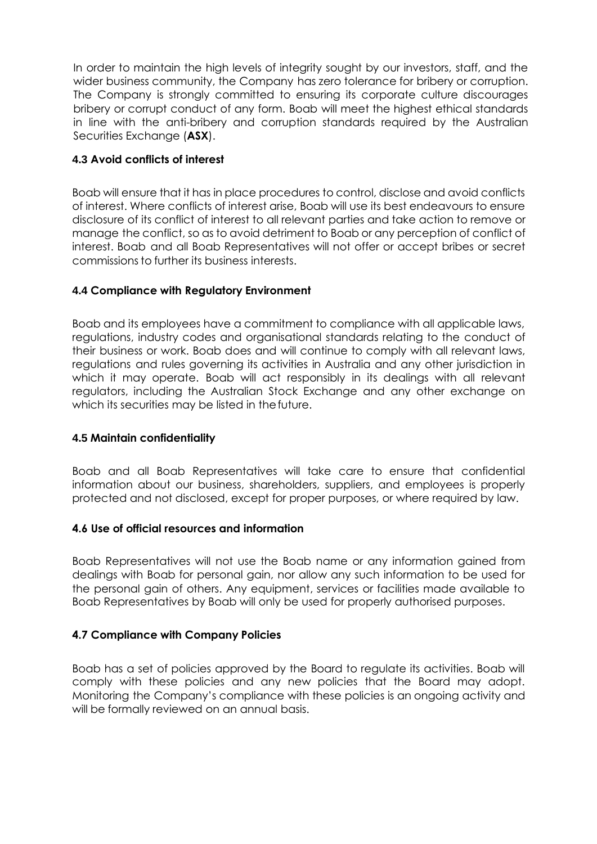In order to maintain the high levels of integrity sought by our investors, staff, and the wider business community, the Company has zero tolerance for bribery or corruption. The Company is strongly committed to ensuring its corporate culture discourages bribery or corrupt conduct of any form. Boab will meet the highest ethical standards in line with the anti-bribery and corruption standards required by the Australian Securities Exchange (**ASX**).

## **4.3 Avoid conflicts of interest**

Boab will ensure that it has in place procedures to control, disclose and avoid conflicts of interest. Where conflicts of interest arise, Boab will use its best endeavours to ensure disclosure of its conflict of interest to all relevant parties and take action to remove or manage the conflict, so as to avoid detriment to Boab or any perception of conflict of interest. Boab and all Boab Representatives will not offer or accept bribes or secret commissions to further its business interests.

## **4.4 Compliance with Regulatory Environment**

Boab and its employees have a commitment to compliance with all applicable laws, regulations, industry codes and organisational standards relating to the conduct of their business or work. Boab does and will continue to comply with all relevant laws, regulations and rules governing its activities in Australia and any other jurisdiction in which it may operate. Boab will act responsibly in its dealings with all relevant regulators, including the Australian Stock Exchange and any other exchange on which its securities may be listed in the future.

## **4.5 Maintain confidentiality**

Boab and all Boab Representatives will take care to ensure that confidential information about our business, shareholders, suppliers, and employees is properly protected and not disclosed, except for proper purposes, or where required by law.

## **4.6 Use of official resources and information**

Boab Representatives will not use the Boab name or any information gained from dealings with Boab for personal gain, nor allow any such information to be used for the personal gain of others. Any equipment, services or facilities made available to Boab Representatives by Boab will only be used for properly authorised purposes.

## **4.7 Compliance with Company Policies**

Boab has a set of policies approved by the Board to regulate its activities. Boab will comply with these policies and any new policies that the Board may adopt. Monitoring the Company's compliance with these policies is an ongoing activity and will be formally reviewed on an annual basis.